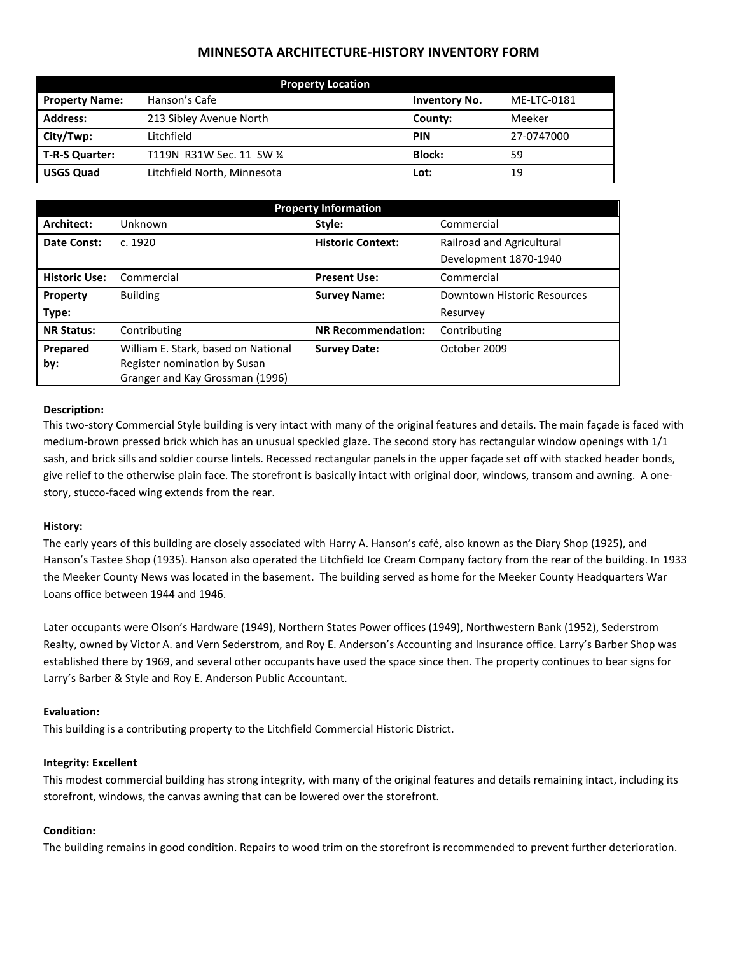# **MINNESOTA ARCHITECTURE-HISTORY INVENTORY FORM**

| <b>Property Location</b> |                             |                      |             |  |
|--------------------------|-----------------------------|----------------------|-------------|--|
| <b>Property Name:</b>    | Hanson's Cafe               | <b>Inventory No.</b> | ME-LTC-0181 |  |
| <b>Address:</b>          | 213 Sibley Avenue North     | County:              | Meeker      |  |
| City/Twp:                | Litchfield                  | <b>PIN</b>           | 27-0747000  |  |
| T-R-S Quarter:           | T119N R31W Sec. 11 SW 1/4   | <b>Block:</b>        | 59          |  |
| <b>USGS Quad</b>         | Litchfield North, Minnesota | Lot:                 | 19          |  |

| <b>Property Information</b> |                                                                 |                                                       |                             |  |
|-----------------------------|-----------------------------------------------------------------|-------------------------------------------------------|-----------------------------|--|
| Architect:                  | Unknown                                                         | Style:                                                | Commercial                  |  |
| Date Const:                 | c. 1920                                                         | <b>Historic Context:</b><br>Railroad and Agricultural |                             |  |
|                             |                                                                 |                                                       | Development 1870-1940       |  |
| <b>Historic Use:</b>        | Commercial                                                      | <b>Present Use:</b>                                   | Commercial                  |  |
| Property                    | <b>Building</b>                                                 | <b>Survey Name:</b>                                   | Downtown Historic Resources |  |
| Type:                       |                                                                 |                                                       | Resurvey                    |  |
| <b>NR Status:</b>           | Contributing                                                    | <b>NR Recommendation:</b>                             | Contributing                |  |
| Prepared                    | William E. Stark, based on National                             | <b>Survey Date:</b>                                   | October 2009                |  |
| by:                         | Register nomination by Susan<br>Granger and Kay Grossman (1996) |                                                       |                             |  |

#### **Description:**

This two-story Commercial Style building is very intact with many of the original features and details. The main façade is faced with medium-brown pressed brick which has an unusual speckled glaze. The second story has rectangular window openings with 1/1 sash, and brick sills and soldier course lintels. Recessed rectangular panels in the upper façade set off with stacked header bonds, give relief to the otherwise plain face. The storefront is basically intact with original door, windows, transom and awning. A onestory, stucco-faced wing extends from the rear.

## **History:**

The early years of this building are closely associated with Harry A. Hanson's café, also known as the Diary Shop (1925), and Hanson's Tastee Shop (1935). Hanson also operated the Litchfield Ice Cream Company factory from the rear of the building. In 1933 the Meeker County News was located in the basement. The building served as home for the Meeker County Headquarters War Loans office between 1944 and 1946.

Later occupants were Olson's Hardware (1949), Northern States Power offices (1949), Northwestern Bank (1952), Sederstrom Realty, owned by Victor A. and Vern Sederstrom, and Roy E. Anderson's Accounting and Insurance office. Larry's Barber Shop was established there by 1969, and several other occupants have used the space since then. The property continues to bear signs for Larry's Barber & Style and Roy E. Anderson Public Accountant.

## **Evaluation:**

This building is a contributing property to the Litchfield Commercial Historic District.

## **Integrity: Excellent**

This modest commercial building has strong integrity, with many of the original features and details remaining intact, including its storefront, windows, the canvas awning that can be lowered over the storefront.

#### **Condition:**

The building remains in good condition. Repairs to wood trim on the storefront is recommended to prevent further deterioration.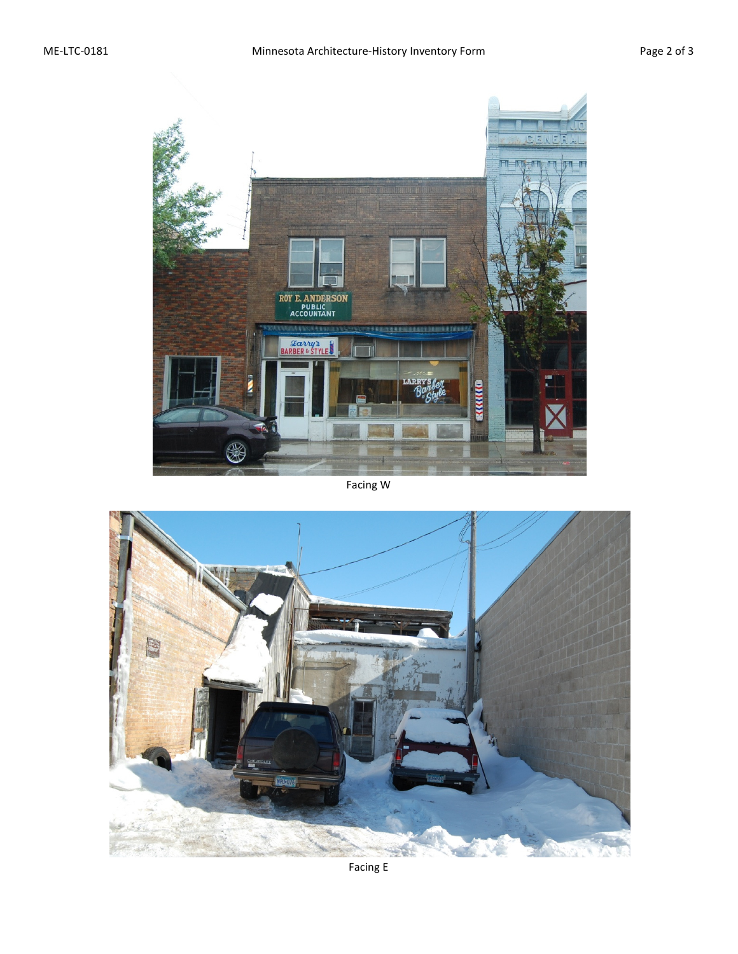

# Facing W



Facing E